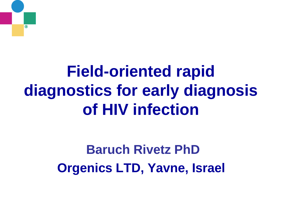# $^{\circ}$

# **Field-oriented rapid diagnostics for early diagnosis of HIV infection**

### **Baruch Rivetz PhD Orgenics LTD, Yavne, Israel**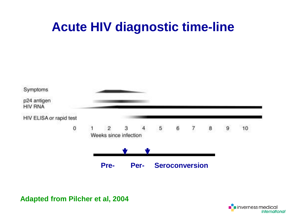#### **Acute HIV diagnostic time-line**



**Adapted from Pilcher et al, 2004**

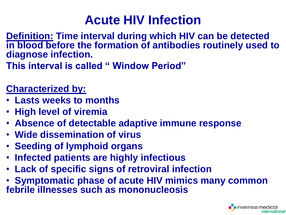#### **Acute HIV Infection**

**Definition: Time interval during which HIV can be detected in blood before the formation of antibodies routinely used to diagnose infection.**

**This interval is called " Window Period"**

#### **Characterized by:**

- **Lasts weeks to months**
- **High level of viremia**
- **Absence of detectable adaptive immune response**
- **Wide dissemination of virus**
- **Seeding of lymphoid organs**
- **Infected patients are highly infectious**
- **Lack of specific signs of retroviral infection**
- **Symptomatic phase of acute HIV mimics many common febrile illnesses such as mononucleosis**

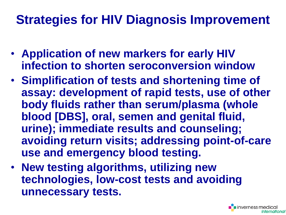#### **Strategies for HIV Diagnosis Improvement**

- **Application of new markers for early HIV infection to shorten seroconversion window**
- **Simplification of tests and shortening time of assay: development of rapid tests, use of other body fluids rather than serum/plasma (whole blood [DBS], oral, semen and genital fluid, urine); immediate results and counseling; avoiding return visits; addressing point-of-care use and emergency blood testing.**
- **New testing algorithms, utilizing new technologies, low-cost tests and avoiding unnecessary tests.**

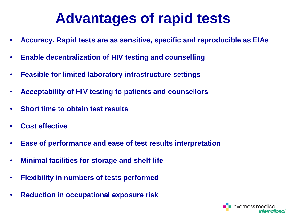### **Advantages of rapid tests**

- **Accuracy. Rapid tests are as sensitive, specific and reproducible as EIAs**
- **Enable decentralization of HIV testing and counselling**
- **Feasible for limited laboratory infrastructure settings**
- **Acceptability of HIV testing to patients and counsellors**
- **Short time to obtain test results**
- **Cost effective**
- **Ease of performance and ease of test results interpretation**
- **Minimal facilities for storage and shelf-life**
- **Flexibility in numbers of tests performed**
- **Reduction in occupational exposure risk**

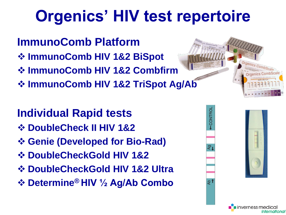# **Orgenics' HIV test repertoire**

- **ImmunoComb Platform**
- **ImmunoComb HIV 1&2 BiSpot**
- **ImmunoComb HIV 1&2 Combfirm**
- **☆ ImmunoComb HIV 1&2 TriSpot Ag/Ab**

#### **Individual Rapid tests**

- $\diamond$  **DoubleCheck II HIV 1&2**
- **Genie (Developed for Bio-Rad)**
- $\diamond$  **DoubleCheckGold HIV 1&2**
- $\diamond$  **DoubleCheckGold HIV 1&2 Ultra**
- **Determine® HIV ½ Ag/Ab Combo**





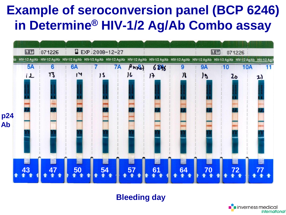#### **Example of seroconversion panel (BCP 6246) in Determine® HIV-1/2 Ag/Ab Combo assay**



**Bleeding day**

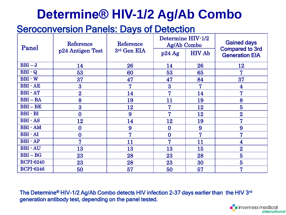#### **Determine® HIV-1/2 Ag/Ab Combo**

#### **Seroconversion Panels: Days of Detection**

| Panel            | Reference<br>p24 Antigen Test | Reference<br>3rd Gen EIA | Determine HIV-1/2<br>Ag/Ab Combo |               | <b>Gained days</b><br><b>Compared to 3rd</b> |
|------------------|-------------------------------|--------------------------|----------------------------------|---------------|----------------------------------------------|
|                  |                               |                          | p24Ag                            | <b>HIV Ab</b> | <b>Generation EIA</b>                        |
| $BBI-J$          | 14                            | 26                       | 14                               | 26            | 12                                           |
| $BBI - Q$        | 53                            | 60                       | 53                               | 65            | 7                                            |
| <b>BBI</b> - W   | 37                            | 47                       | 47                               | 84            | 37                                           |
| <b>BBI</b> - AE  | $\bf{3}$                      | 7                        | $\overline{3}$                   | 7             | 4                                            |
| <b>BBI</b> - AT  | $\overline{2}$                | 14                       | 7                                | 14            | 7                                            |
| $BBI - BA$       | 8                             | 19                       | 11                               | 19            | 8                                            |
| $BBI - BE$       | 3                             | 12                       | 7                                | 12            | $\overline{5}$                               |
| $BBI - BI$       | $\bf{0}$                      | 9                        | 7                                | 12            | $\overline{2}$                               |
| <b>BBI</b> - AS  | 12                            | 14                       | 12                               | 19            | 7                                            |
| <b>BBI</b> - AM  | $\bf{0}$                      | 9                        | $\bf{0}$                         | 9             | 9                                            |
| <b>BBI</b> - AI  | $\bf{0}$                      | 7                        | $\bf{0}$                         | 7             | 7                                            |
| <b>BBI</b> - AP  | $\overline{7}$                | 11                       | 7                                | 11            | 4                                            |
| <b>BBI</b> - AU  | 13                            | 13                       | 13                               | 15            | $\overline{2}$                               |
| $BBI - BG$       | 23                            | 28                       | 23                               | 28            | $\overline{5}$                               |
| <b>BCPI-6240</b> | 23                            | 28                       | 23                               | 30            | $\overline{5}$                               |
| <b>BCPI-6246</b> | 50                            | 57                       | 50                               | 57            | 7                                            |

The Determine® HIV-1/2 Ag/Ab Combo detects HIV infection 2-37 days earlier than the HIV 3<sup>rd</sup> generation antibody test, depending on the panel tested.

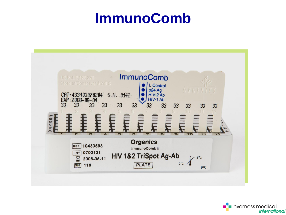### **ImmunoComb**



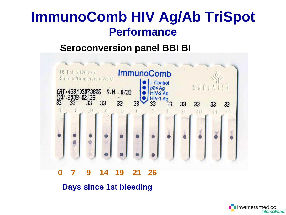#### **ImmunoComb HIV Ag/Ab TriSpot Performance**

#### **Seroconversion panel BBI BI**



#### **Days since 1st bleeding**

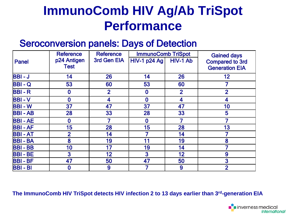#### **ImmunoComb HIV Ag/Ab TriSpot Performance**

#### Seroconversion panels: Days of Detection

|               | <b>Reference</b> | <b>Reference</b> | <b>ImmunoComb TriSpot</b> |                | <b>Gained days</b>     |
|---------------|------------------|------------------|---------------------------|----------------|------------------------|
| <b>Panel</b>  | p24 Antigen      | 3rd Gen EIA      | <b>HIV-1 p24 Ag</b>       | HIV-1 Ab       | <b>Compared to 3rd</b> |
|               | <b>Test</b>      |                  |                           |                | <b>Generation EIA</b>  |
| $BBI - J$     | 14               | 26               | 14                        | 26             | 12                     |
| <b>BBI-Q</b>  | 53               | 60               | 53                        | 60             | 7                      |
| <b>BBI-R</b>  | $\bf{0}$         | $\overline{2}$   | $\bf{0}$                  | $\overline{2}$ | $\overline{2}$         |
| <b>BBI-V</b>  | $\bf{0}$         | 4                | $\bf{0}$                  | 4              | 4                      |
| <b>BBI-W</b>  | 37               | 47               | 37                        | 47             | 10                     |
| <b>BBI-AB</b> | 28               | 33               | 28                        | 33             | 5                      |
| <b>BBI-AE</b> | $\bf{0}$         |                  | 0                         |                |                        |
| <b>BBI-AF</b> | 15               | 28               | 15                        | 28             | 13                     |
| <b>BBI-AT</b> | 2                | 14               |                           | 14             |                        |
| <b>BBI-BA</b> | 8                | 19               | 11                        | 19             | 8                      |
| <b>BBI-BB</b> | 10               | 17               | 19                        | 14             | 7                      |
| <b>BBI-BE</b> | 3                | 12               | 3                         | 12             | 9                      |
| <b>BBI-BF</b> | 47               | 50               | 47                        | 50             | 3                      |
| $BB - BI$     | $\bm{0}$         | 9                |                           | 9              | $\overline{2}$         |

**The ImmunoComb HIV TriSpot detects HIV infection 2 to 13 days earlier than 3 rd-generation EIA**

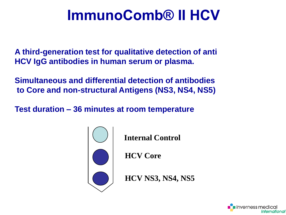### **ImmunoComb® II HCV**

**A third-generation test for qualitative detection of anti HCV IgG antibodies in human serum or plasma.**

**Simultaneous and differential detection of antibodies to Core and non-structural Antigens (NS3, NS4, NS5)**

**Test duration – 36 minutes at room temperature**



**Internal Control**

**HCV Core**

**HCV NS3, NS4, NS5**

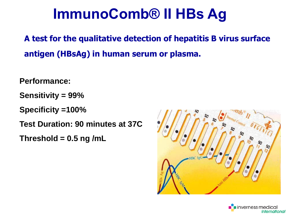### **ImmunoComb® II HBs Ag**

**A test for the qualitative detection of hepatitis B virus surface antigen (HBsAg) in human serum or plasma.** 

**Performance:** 

**Sensitivity = 99%** 

**Specificity =100%** 

**Test Duration: 90 minutes at 37C**

**Threshold = 0.5 ng /mL**



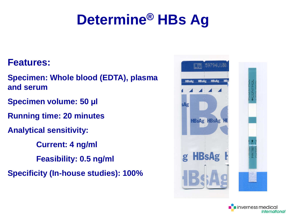### **Determine® HBs Ag**

#### **Features:**

**Specimen: Whole blood (EDTA), plasma and serum**

- **Specimen volume: 50 µl**
- **Running time: 20 minutes**
- **Analytical sensitivity:** 
	- **Current: 4 ng/ml**
	- **Feasibility: 0.5 ng/ml**
- **Specificity (In-house studies): 100%**



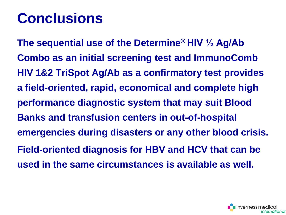### **Conclusions**

**The sequential use of the Determine® HIV ½ Ag/Ab Combo as an initial screening test and ImmunoComb HIV 1&2 TriSpot Ag/Ab as a confirmatory test provides a field-oriented, rapid, economical and complete high performance diagnostic system that may suit Blood Banks and transfusion centers in out-of-hospital emergencies during disasters or any other blood crisis. Field-oriented diagnosis for HBV and HCV that can be used in the same circumstances is available as well.**